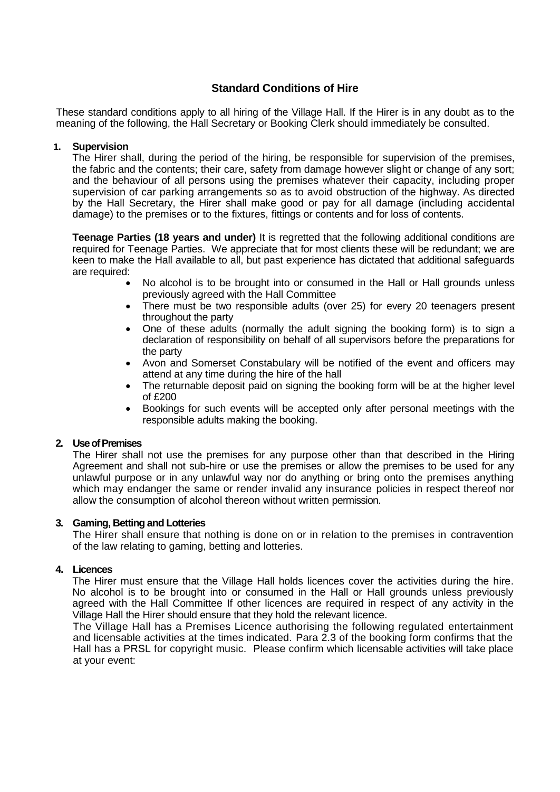# **Standard Conditions of Hire**

These standard conditions apply to all hiring of the Village Hall. If the Hirer is in any doubt as to the meaning of the following, the Hall Secretary or Booking Clerk should immediately be consulted.

# **1. Supervision**

The Hirer shall, during the period of the hiring, be responsible for supervision of the premises, the fabric and the contents; their care, safety from damage however slight or change of any sort; and the behaviour of all persons using the premises whatever their capacity, including proper supervision of car parking arrangements so as to avoid obstruction of the highway. As directed by the Hall Secretary, the Hirer shall make good or pay for all damage (including accidental damage) to the premises or to the fixtures, fittings or contents and for loss of contents.

**Teenage Parties (18 years and under)** It is regretted that the following additional conditions are required for Teenage Parties. We appreciate that for most clients these will be redundant; we are keen to make the Hall available to all, but past experience has dictated that additional safeguards are required:

- No alcohol is to be brought into or consumed in the Hall or Hall grounds unless previously agreed with the Hall Committee
- There must be two responsible adults (over 25) for every 20 teenagers present throughout the party
- One of these adults (normally the adult signing the booking form) is to sign a declaration of responsibility on behalf of all supervisors before the preparations for the party
- Avon and Somerset Constabulary will be notified of the event and officers may attend at any time during the hire of the hall
- The returnable deposit paid on signing the booking form will be at the higher level of £200
- Bookings for such events will be accepted only after personal meetings with the responsible adults making the booking.

#### **2. Use of Premises**

The Hirer shall not use the premises for any purpose other than that described in the Hiring Agreement and shall not sub-hire or use the premises or allow the premises to be used for any unlawful purpose or in any unlawful way nor do anything or bring onto the premises anything which may endanger the same or render invalid any insurance policies in respect thereof nor allow the consumption of alcohol thereon without written permission.

#### **3. Gaming, Betting and Lotteries**

The Hirer shall ensure that nothing is done on or in relation to the premises in contravention of the law relating to gaming, betting and lotteries.

#### **4. Licences**

The Hirer must ensure that the Village Hall holds licences cover the activities during the hire. No alcohol is to be brought into or consumed in the Hall or Hall grounds unless previously agreed with the Hall Committee If other licences are required in respect of any activity in the Village Hall the Hirer should ensure that they hold the relevant licence.

The Village Hall has a Premises Licence authorising the following regulated entertainment and licensable activities at the times indicated. Para 2.3 of the booking form confirms that the Hall has a PRSL for copyright music. Please confirm which licensable activities will take place at your event: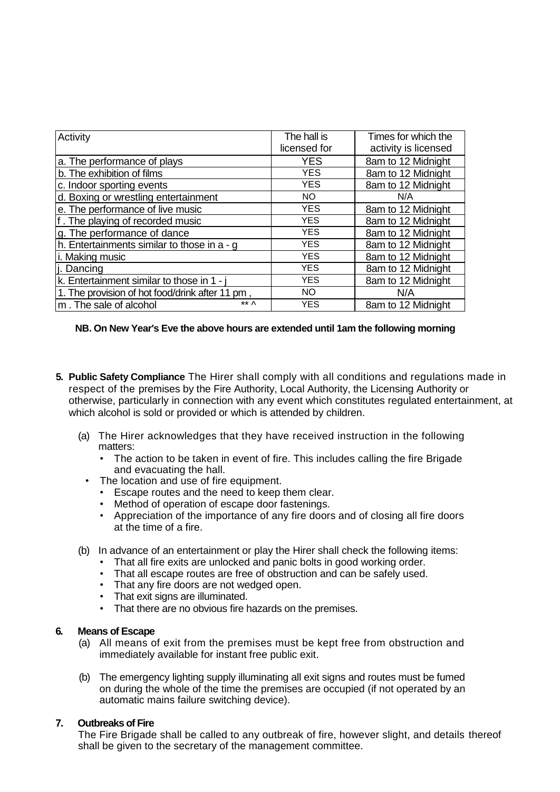| Activity                                        | The hall is  | Times for which the  |
|-------------------------------------------------|--------------|----------------------|
|                                                 | licensed for | activity is licensed |
| a. The performance of plays                     | <b>YES</b>   | 8am to 12 Midnight   |
| b. The exhibition of films                      | <b>YES</b>   | 8am to 12 Midnight   |
| c. Indoor sporting events                       | <b>YES</b>   | 8am to 12 Midnight   |
| d. Boxing or wrestling entertainment            | NO.          | N/A                  |
| e. The performance of live music                | <b>YES</b>   | 8am to 12 Midnight   |
| f. The playing of recorded music                | <b>YES</b>   | 8am to 12 Midnight   |
| g. The performance of dance                     | <b>YES</b>   | 8am to 12 Midnight   |
| h. Entertainments similar to those in a - g     | <b>YES</b>   | 8am to 12 Midnight   |
| i. Making music                                 | <b>YES</b>   | 8am to 12 Midnight   |
| li. Dancing                                     | <b>YES</b>   | 8am to 12 Midnight   |
| k. Entertainment similar to those in 1 - i      | <b>YES</b>   | 8am to 12 Midnight   |
| 1. The provision of hot food/drink after 11 pm, | <b>NO</b>    | N/A                  |
| ** ^<br>m. The sale of alcohol                  | <b>YES</b>   | 8am to 12 Midnight   |

# **NB. On New Year's Eve the above hours are extended until 1am the following morning**

- **5. Public Safety Compliance** The Hirer shall comply with all conditions and regulations made in respect of the premises by the Fire Authority, Local Authority, the Licensing Authority or otherwise, particularly in connection with any event which constitutes regulated entertainment, at which alcohol is sold or provided or which is attended by children.
	- (a) The Hirer acknowledges that they have received instruction in the following matters:
		- The action to be taken in event of fire. This includes calling the fire Brigade and evacuating the hall.
		- The location and use of fire equipment.
			- Escape routes and the need to keep them clear.
			- Method of operation of escape door fastenings.
			- Appreciation of the importance of any fire doors and of closing all fire doors at the time of a fire.
	- (b) In advance of an entertainment or play the Hirer shall check the following items:
		- That all fire exits are unlocked and panic bolts in good working order.
		- That all escape routes are free of obstruction and can be safely used.
		- That any fire doors are not wedged open.
		- That exit signs are illuminated.
		- That there are no obvious fire hazards on the premises.

#### **6. Means of Escape**

- (a) All means of exit from the premises must be kept free from obstruction and immediately available for instant free public exit.
- (b) The emergency lighting supply illuminating all exit signs and routes must be fumed on during the whole of the time the premises are occupied (if not operated by an automatic mains failure switching device).

### **7. Outbreaks of Fire**

The Fire Brigade shall be called to any outbreak of fire, however slight, and details thereof shall be given to the secretary of the management committee.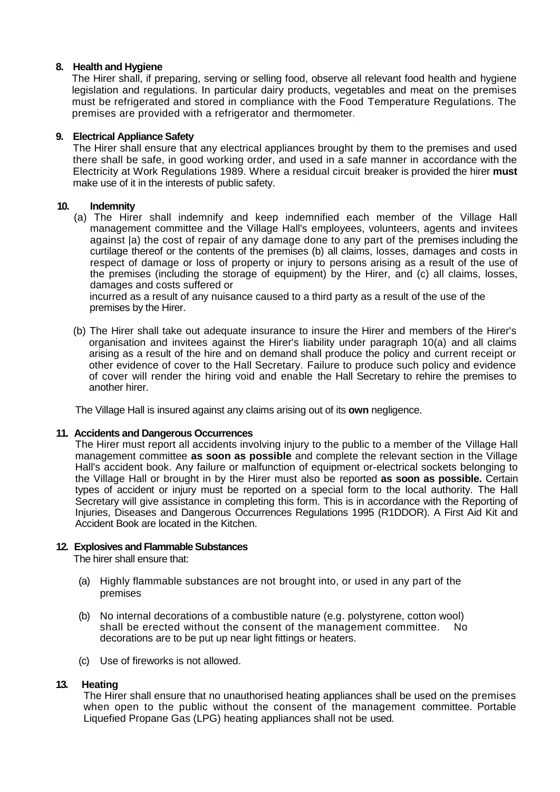# **8. Health and Hygiene**

The Hirer shall, if preparing, serving or selling food, observe all relevant food health and hygiene legislation and regulations. In particular dairy products, vegetables and meat on the premises must be refrigerated and stored in compliance with the Food Temperature Regulations. The premises are provided with a refrigerator and thermometer.

# **9. Electrical Appliance Safety**

The Hirer shall ensure that any electrical appliances brought by them to the premises and used there shall be safe, in good working order, and used in a safe manner in accordance with the Electricity at Work Regulations 1989. Where a residual circuit breaker is provided the hirer **must**  make use of it in the interests of public safety.

# **10. Indemnity**

(a) The Hirer shall indemnify and keep indemnified each member of the Village Hall management committee and the Village Hall's employees, volunteers, agents and invitees against |a) the cost of repair of any damage done to any part of the premises including the curtilage thereof or the contents of the premises (b) all claims, losses, damages and costs in respect of damage or loss of property or injury to persons arising as a result of the use of the premises (including the storage of equipment) by the Hirer, and (c) all claims, losses, damages and costs suffered or

incurred as a result of any nuisance caused to a third party as a result of the use of the premises by the Hirer.

(b) The Hirer shall take out adequate insurance to insure the Hirer and members of the Hirer's organisation and invitees against the Hirer's liability under paragraph 10(a) and all claims arising as a result of the hire and on demand shall produce the policy and current receipt or other evidence of cover to the Hall Secretary. Failure to produce such policy and evidence of cover will render the hiring void and enable the Hall Secretary to rehire the premises to another hirer.

The Village Hall is insured against any claims arising out of its **own** negligence.

#### **11. Accidents and Dangerous Occurrences**

The Hirer must report all accidents involving injury to the public to a member of the Village Hall management committee **as soon as possible** and complete the relevant section in the Village Hall's accident book. Any failure or malfunction of equipment or-electrical sockets belonging to the Village Hall or brought in by the Hirer must also be reported **as soon as possible.** Certain types of accident or injury must be reported on a special form to the local authority. The Hall Secretary will give assistance in completing this form. This is in accordance with the Reporting of Injuries, Diseases and Dangerous Occurrences Regulations 1995 (R1DDOR). A First Aid Kit and Accident Book are located in the Kitchen.

#### **12. Explosives and Flammable Substances**

The hirer shall ensure that:

- (a) Highly flammable substances are not brought into, or used in any part of the premises
- (b) No internal decorations of a combustible nature (e.g. polystyrene, cotton wool) shall be erected without the consent of the management committee. No decorations are to be put up near light fittings or heaters.
- (c) Use of fireworks is not allowed.

# **13. Heating**

The Hirer shall ensure that no unauthorised heating appliances shall be used on the premises when open to the public without the consent of the management committee. Portable Liquefied Propane Gas (LPG) heating appliances shall not be used.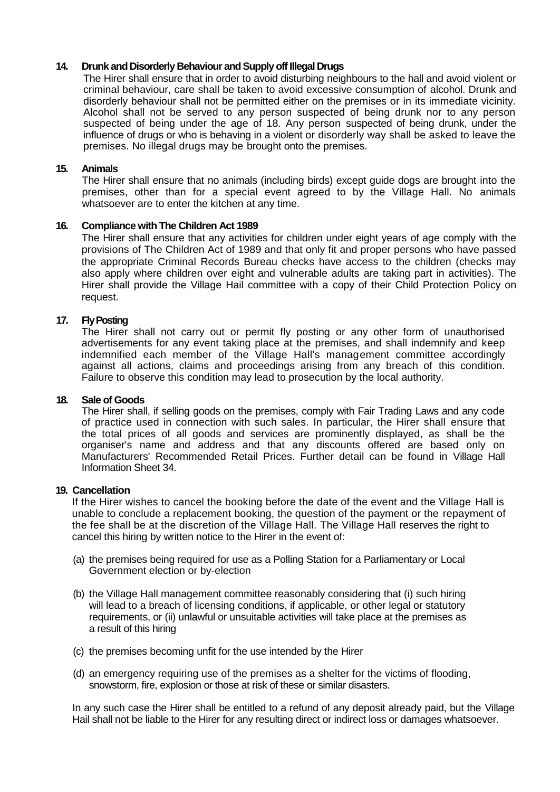# **14. Drunk and Disorderly Behaviour and Supply off Illegal Drugs**

The Hirer shall ensure that in order to avoid disturbing neighbours to the hall and avoid violent or criminal behaviour, care shall be taken to avoid excessive consumption of alcohol. Drunk and disorderly behaviour shall not be permitted either on the premises or in its immediate vicinity. Alcohol shall not be served to any person suspected of being drunk nor to any person suspected of being under the age of 18. Any person suspected of being drunk, under the influence of drugs or who is behaving in a violent or disorderly way shall be asked to leave the premises. No illegal drugs may be brought onto the premises.

#### **15. Animals**

The Hirer shall ensure that no animals (including birds) except guide dogs are brought into the premises, other than for a special event agreed to by the Village Hall. No animals whatsoever are to enter the kitchen at any time.

# **16. Compliance with The Children Act 1989**

The Hirer shall ensure that any activities for children under eight years of age comply with the provisions of The Children Act of 1989 and that only fit and proper persons who have passed the appropriate Criminal Records Bureau checks have access to the children (checks may also apply where children over eight and vulnerable adults are taking part in activities). The Hirer shall provide the Village Hail committee with a copy of their Child Protection Policy on request.

# **17. Fly Posting**

The Hirer shall not carry out or permit fly posting or any other form of unauthorised advertisements for any event taking place at the premises, and shall indemnify and keep indemnified each member of the Village Hall's management committee accordingly against all actions, claims and proceedings arising from any breach of this condition. Failure to observe this condition may lead to prosecution by the local authority.

#### **18. Sale of Goods**

The Hirer shall, if selling goods on the premises, comply with Fair Trading Laws and any code of practice used in connection with such sales. In particular, the Hirer shall ensure that the total prices of all goods and services are prominently displayed, as shall be the organiser's name and address and that any discounts offered are based only on Manufacturers' Recommended Retail Prices. Further detail can be found in Village Hall Information Sheet 34.

# **19. Cancellation**

If the Hirer wishes to cancel the booking before the date of the event and the Village Hall is unable to conclude a replacement booking, the question of the payment or the repayment of the fee shall be at the discretion of the Village Hall. The Village Hall reserves the right to cancel this hiring by written notice to the Hirer in the event of:

- (a) the premises being required for use as a Polling Station for a Parliamentary or Local Government election or by-election
- (b) the Village Hall management committee reasonably considering that (i) such hiring will lead to a breach of licensing conditions, if applicable, or other legal or statutory requirements, or (ii) unlawful or unsuitable activities will take place at the premises as a result of this hiring
- (c) the premises becoming unfit for the use intended by the Hirer
- (d) an emergency requiring use of the premises as a shelter for the victims of flooding, snowstorm, fire, explosion or those at risk of these or similar disasters.

In any such case the Hirer shall be entitled to a refund of any deposit already paid, but the Village Hail shall not be liable to the Hirer for any resulting direct or indirect loss or damages whatsoever.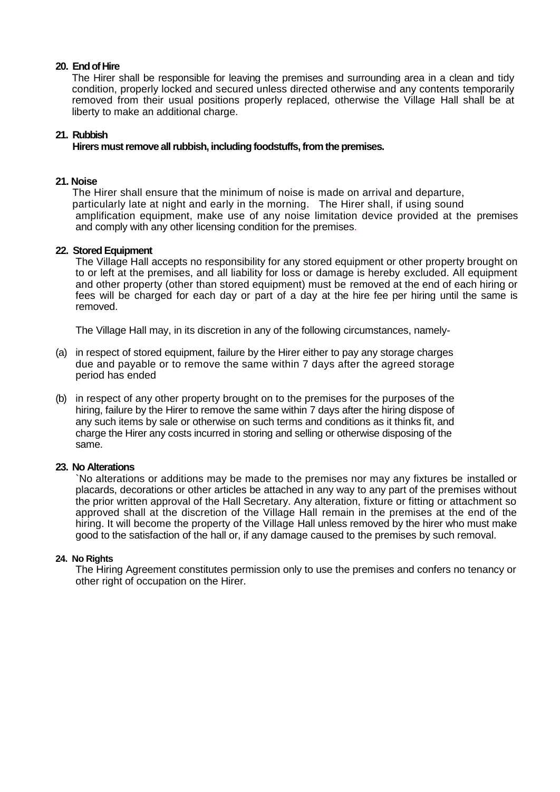# **20. End of Hire**

The Hirer shall be responsible for leaving the premises and surrounding area in a clean and tidy condition, properly locked and secured unless directed otherwise and any contents temporarily removed from their usual positions properly replaced, otherwise the Village Hall shall be at liberty to make an additional charge.

### **21. Rubbish**

# **Hirers must remove all rubbish, including foodstuffs, from the premises.**

# **21. Noise**

The Hirer shall ensure that the minimum of noise is made on arrival and departure, particularly late at night and early in the morning. The Hirer shall, if using sound amplification equipment, make use of any noise limitation device provided at the premises and comply with any other licensing condition for the premises.

# **22. Stored Equipment**

The Village Hall accepts no responsibility for any stored equipment or other property brought on to or left at the premises, and all liability for loss or damage is hereby excluded. All equipment and other property (other than stored equipment) must be removed at the end of each hiring or fees will be charged for each day or part of a day at the hire fee per hiring until the same is removed.

The Village Hall may, in its discretion in any of the following circumstances, namely-

- (a) in respect of stored equipment, failure by the Hirer either to pay any storage charges due and payable or to remove the same within 7 days after the agreed storage period has ended
- (b) in respect of any other property brought on to the premises for the purposes of the hiring, failure by the Hirer to remove the same within 7 days after the hiring dispose of any such items by sale or otherwise on such terms and conditions as it thinks fit, and charge the Hirer any costs incurred in storing and selling or otherwise disposing of the same.

#### **23. No Alterations**

`No alterations or additions may be made to the premises nor may any fixtures be installed or placards, decorations or other articles be attached in any way to any part of the premises without the prior written approval of the Hall Secretary. Any alteration, fixture or fitting or attachment so approved shall at the discretion of the Village Hall remain in the premises at the end of the hiring. It will become the property of the Village Hall unless removed by the hirer who must make good to the satisfaction of the hall or, if any damage caused to the premises by such removal.

#### **24. No Rights**

The Hiring Agreement constitutes permission only to use the premises and confers no tenancy or other right of occupation on the Hirer.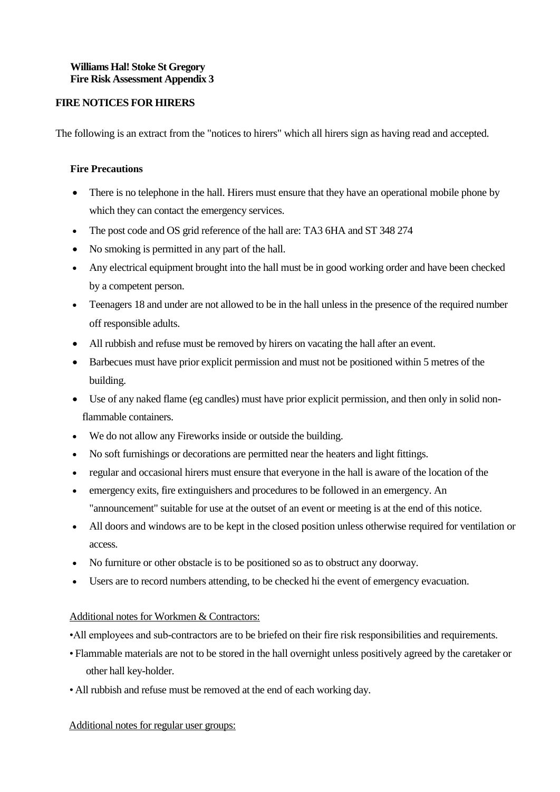# **Williams Hal! Stoke St Gregory Fire Risk Assessment Appendix 3**

# **FIRE NOTICES FOR HIRERS**

The following is an extract from the "notices to hirers" which all hirers sign as having read and accepted.

# **Fire Precautions**

- There is no telephone in the hall. Hirers must ensure that they have an operational mobile phone by which they can contact the emergency services.
- The post code and OS grid reference of the hall are: TA3 6HA and ST 348 274
- No smoking is permitted in any part of the hall.
- Any electrical equipment brought into the hall must be in good working order and have been checked by a competent person.
- Teenagers 18 and under are not allowed to be in the hall unless in the presence of the required number off responsible adults.
- All rubbish and refuse must be removed by hirers on vacating the hall after an event.
- Barbecues must have prior explicit permission and must not be positioned within 5 metres of the building.
- Use of any naked flame (eg candles) must have prior explicit permission, and then only in solid non flammable containers.
- We do not allow any Fireworks inside or outside the building.
- No soft furnishings or decorations are permitted near the heaters and light fittings.
- regular and occasional hirers must ensure that everyone in the hall is aware of the location of the
- emergency exits, fire extinguishers and procedures to be followed in an emergency. An "announcement" suitable for use at the outset of an event or meeting is at the end of this notice.
- All doors and windows are to be kept in the closed position unless otherwise required for ventilation or access.
- No furniture or other obstacle is to be positioned so as to obstruct any doorway.
- Users are to record numbers attending, to be checked hi the event of emergency evacuation.

# Additional notes for Workmen & Contractors:

- •All employees and sub-contractors are to be briefed on their fire risk responsibilities and requirements.
- Flammable materials are not to be stored in the hall overnight unless positively agreed by the caretaker or other hall key-holder.
- All rubbish and refuse must be removed at the end of each working day.

# Additional notes for regular user groups: